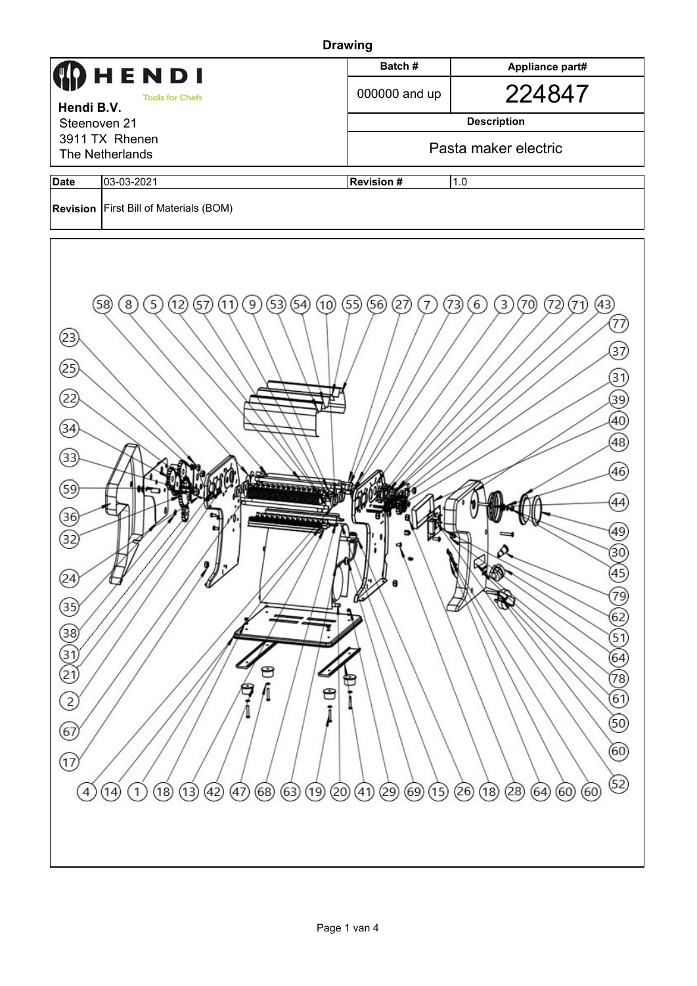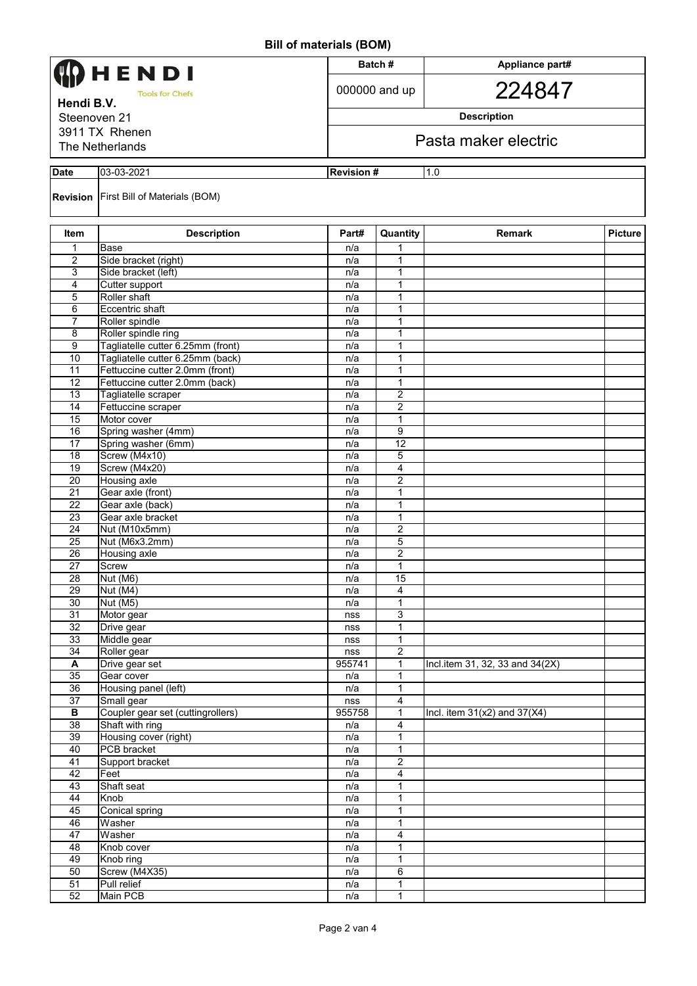| HENDI<br><b>Tools for Chefs</b>   |                                                                     |                   | Batch#                         | Appliance part#<br>224847        |                |  |  |  |  |
|-----------------------------------|---------------------------------------------------------------------|-------------------|--------------------------------|----------------------------------|----------------|--|--|--|--|
|                                   |                                                                     |                   | 000000 and up                  |                                  |                |  |  |  |  |
| Hendi B.V.                        |                                                                     |                   |                                |                                  |                |  |  |  |  |
| Steenoven 21                      |                                                                     |                   | <b>Description</b>             |                                  |                |  |  |  |  |
| 3911 TX Rhenen<br>The Netherlands |                                                                     |                   | Pasta maker electric           |                                  |                |  |  |  |  |
|                                   |                                                                     |                   |                                |                                  |                |  |  |  |  |
| <b>Date</b>                       | 03-03-2021                                                          | <b>Revision #</b> |                                | 1.0                              |                |  |  |  |  |
|                                   | <b>Revision</b> First Bill of Materials (BOM)                       |                   |                                |                                  |                |  |  |  |  |
| Item                              | <b>Description</b>                                                  | Part#             | Quantity                       | <b>Remark</b>                    | <b>Picture</b> |  |  |  |  |
| 1                                 | Base                                                                | n/a               | 1                              |                                  |                |  |  |  |  |
| 2                                 | Side bracket (right)                                                | n/a               | 1                              |                                  |                |  |  |  |  |
| 3                                 | Side bracket (left)                                                 | n/a               | 1                              |                                  |                |  |  |  |  |
| 4                                 | Cutter support                                                      | n/a               | 1                              |                                  |                |  |  |  |  |
| 5                                 | Roller shaft                                                        | n/a               | 1                              |                                  |                |  |  |  |  |
| 6                                 | Eccentric shaft                                                     | n/a               | 1                              |                                  |                |  |  |  |  |
| $\overline{7}$                    | Roller spindle                                                      | n/a               | 1                              |                                  |                |  |  |  |  |
| 8                                 | Roller spindle ring                                                 | n/a               | 1                              |                                  |                |  |  |  |  |
| 9<br>10                           | Tagliatelle cutter 6.25mm (front)                                   | n/a               | 1                              |                                  |                |  |  |  |  |
| 11                                | Tagliatelle cutter 6.25mm (back)<br>Fettuccine cutter 2.0mm (front) | n/a               | 1<br>1                         |                                  |                |  |  |  |  |
| 12                                | Fettuccine cutter 2.0mm (back)                                      | n/a               | $\mathbf{1}$                   |                                  |                |  |  |  |  |
| 13                                | Tagliatelle scraper                                                 | n/a<br>n/a        | 2                              |                                  |                |  |  |  |  |
| 14                                | Fettuccine scraper                                                  | n/a               | $\overline{2}$                 |                                  |                |  |  |  |  |
| 15                                | Motor cover                                                         | n/a               | $\mathbf{1}$                   |                                  |                |  |  |  |  |
| 16                                | Spring washer (4mm)                                                 | n/a               | 9                              |                                  |                |  |  |  |  |
| 17                                | Spring washer (6mm)                                                 | n/a               | 12                             |                                  |                |  |  |  |  |
| 18                                | Screw (M4x10)                                                       | n/a               | 5                              |                                  |                |  |  |  |  |
| $\overline{19}$                   | Screw (M4x20)                                                       | n/a               | 4                              |                                  |                |  |  |  |  |
| $\overline{20}$                   | <b>Housing axle</b>                                                 | n/a               | 2                              |                                  |                |  |  |  |  |
| 21                                | Gear axle (front)                                                   | n/a               | 1                              |                                  |                |  |  |  |  |
| 22                                | Gear axle (back)                                                    | n/a               | 1                              |                                  |                |  |  |  |  |
| 23                                | Gear axle bracket                                                   | n/a               | 1                              |                                  |                |  |  |  |  |
| 24                                | Nut (M10x5mm)                                                       | n/a               | 2                              |                                  |                |  |  |  |  |
| 25                                | Nut (M6x3.2mm)                                                      | n/a               | 5                              |                                  |                |  |  |  |  |
| 26                                | <b>Housing axle</b>                                                 | n/a               | $\overline{2}$                 |                                  |                |  |  |  |  |
| $\overline{27}$                   | Screw                                                               | n/a               | 1                              |                                  |                |  |  |  |  |
| 28                                | Nut (M6)                                                            | n/a               | 15                             |                                  |                |  |  |  |  |
| $\overline{29}$                   | Nut (M4)                                                            | n/a               | $\overline{4}$                 |                                  |                |  |  |  |  |
| 30                                | Nut (M5)                                                            | n/a               | $\mathbf{1}$                   |                                  |                |  |  |  |  |
| 31                                | Motor gear                                                          | nss               | 3                              |                                  |                |  |  |  |  |
| $\overline{32}$<br>33             | Drive gear<br>Middle gear                                           | nss               | $\mathbf{1}$                   |                                  |                |  |  |  |  |
| 34                                | Roller gear                                                         | nss               | $\mathbf{1}$<br>$\overline{2}$ |                                  |                |  |  |  |  |
| Α                                 | Drive gear set                                                      | nss<br>955741     | $\mathbf{1}$                   | Incl.item 31, 32, 33 and 34(2X)  |                |  |  |  |  |
| 35                                | Gear cover                                                          | n/a               | 1                              |                                  |                |  |  |  |  |
| 36                                | Housing panel (left)                                                | n/a               | 1                              |                                  |                |  |  |  |  |
| 37                                | Small gear                                                          | nss               | 4                              |                                  |                |  |  |  |  |
| В                                 | Coupler gear set (cuttingrollers)                                   | 955758            | $\mathbf{1}$                   | Incl. item $31(x2)$ and $37(X4)$ |                |  |  |  |  |
| 38                                | Shaft with ring                                                     | n/a               | $\overline{4}$                 |                                  |                |  |  |  |  |
| 39                                | Housing cover (right)                                               | n/a               | $\mathbf{1}$                   |                                  |                |  |  |  |  |
| 40                                | <b>PCB</b> bracket                                                  | n/a               | $\mathbf{1}$                   |                                  |                |  |  |  |  |
| 41                                | Support bracket                                                     | n/a               | $\overline{2}$                 |                                  |                |  |  |  |  |
| 42                                | Feet                                                                | n/a               | $\overline{\mathbf{4}}$        |                                  |                |  |  |  |  |
| 43                                | Shaft seat                                                          | n/a               | 1                              |                                  |                |  |  |  |  |
| 44                                | Knob                                                                | n/a               | $\mathbf{1}$                   |                                  |                |  |  |  |  |
| 45                                | <b>Conical spring</b>                                               | n/a               | 1                              |                                  |                |  |  |  |  |
| 46                                | Washer                                                              | n/a               | $\mathbf 1$                    |                                  |                |  |  |  |  |
| 47                                | Washer                                                              | n/a               | 4                              |                                  |                |  |  |  |  |
| 48                                | Knob cover                                                          | n/a               | $\mathbf{1}$                   |                                  |                |  |  |  |  |
| 49                                | Knob ring                                                           | n/a               | $\mathbf{1}$                   |                                  |                |  |  |  |  |
| 50                                | Screw (M4X35)                                                       | n/a               | 6                              |                                  |                |  |  |  |  |
| 51                                | Pull relief                                                         | n/a               | $\mathbf{1}$                   |                                  |                |  |  |  |  |
| 52                                | Main PCB                                                            | n/a               | $\overline{1}$                 |                                  |                |  |  |  |  |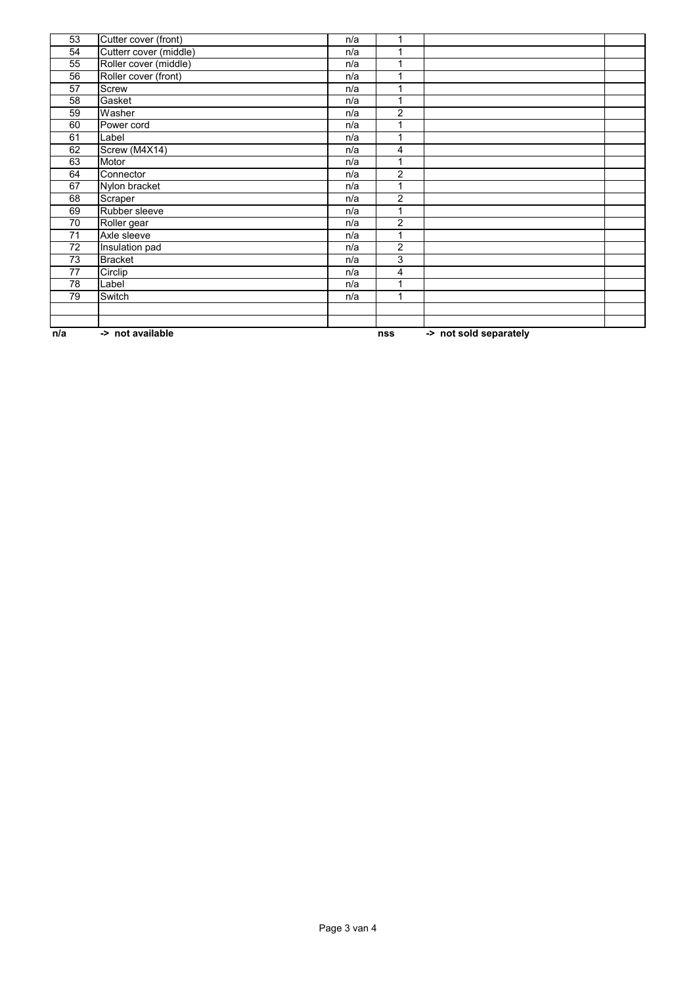| 53  | Cutter cover (front)   | n/a |                |                        |  |
|-----|------------------------|-----|----------------|------------------------|--|
| 54  | Cutterr cover (middle) | n/a |                |                        |  |
| 55  | Roller cover (middle)  | n/a |                |                        |  |
| 56  | Roller cover (front)   | n/a | 1              |                        |  |
| 57  | Screw                  | n/a |                |                        |  |
| 58  | Gasket                 | n/a | 1              |                        |  |
| 59  | Washer                 | n/a | 2              |                        |  |
| 60  | Power cord             | n/a | 1              |                        |  |
| 61  | Label                  | n/a |                |                        |  |
| 62  | Screw (M4X14)          | n/a | 4              |                        |  |
| 63  | Motor                  | n/a | 1              |                        |  |
| 64  | Connector              | n/a | 2              |                        |  |
| 67  | Nylon bracket          | n/a | 1              |                        |  |
| 68  | Scraper                | n/a | $\overline{2}$ |                        |  |
| 69  | Rubber sleeve          | n/a |                |                        |  |
| 70  | Roller gear            | n/a | $\overline{2}$ |                        |  |
| 71  | Axle sleeve            | n/a | 1              |                        |  |
| 72  | Insulation pad         | n/a | $\overline{c}$ |                        |  |
| 73  | <b>Bracket</b>         | n/a | 3              |                        |  |
| 77  | Circlip                | n/a | 4              |                        |  |
| 78  | Label                  | n/a | 1              |                        |  |
| 79  | Switch                 | n/a |                |                        |  |
|     |                        |     |                |                        |  |
|     |                        |     |                |                        |  |
| n/a | -> not available       |     | nss            | -> not sold separately |  |